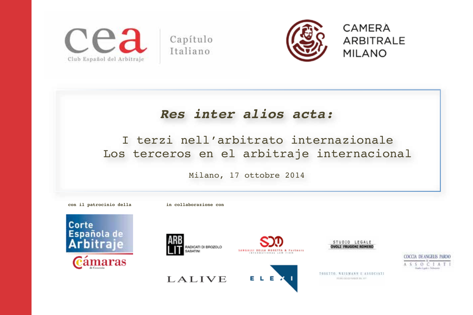

Capítulo Italiano



# *Res inter alios acta:*

# I terzi nell'arbitrato internazionale Los terceros en el arbitraje internacional

Milano, 17 ottobre 2014













TOSETTO, NEIGMANN E ASSOCIATI PROVIDELLA PURATE SIA 2017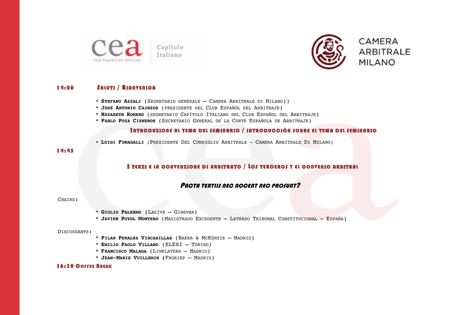

ARBITRALE

CAMERA

**MILANO** 

# 14:00 SALUTI / BIANVENIDA

- ! **STEFANO AZZALI** (SEGRETARIO GENERALE CAMERA ARBITRALE DI MILANO))
- ! **JOSÉ ANTONIO CAINZOS** (PRESIDENTE DEL CLUB ESPAÑOL DEL ARBITRAJE)
- ! **NAZARETH ROMERO** (SEGRETARIO CAPÍTULO ITALIANO DEL CLUB ESPAÑOL DEL ARBITRAJE)
- ! **PABLO POZA CISNEROS** (SECRETARIO GENERAL DE LA CORTE ESPAÑOLA DE ARBITRAJE)

## INTRODUZIONE AL TEMA DEL SEMINARIO / INTRODUCCIÓN SOBRE EL TEMA DEL SEMINARIO

! **LUIGI FUMAGALLI** (PRESIDENTE DEL CONSIGLIO ARBITRALE - CAMERA ARBITRALE DI MILANO)

### 14:45

# I TERZI E LA CONVENZIONE DI ARBITRATO / LOS TERCEROS Y EL CONVENIO ARBITRAL

# PACTA TERTIIS NEC NOCENT NEC PROSUNT?

#### CHAIRS:

- ! **GIULIO PALERMO** (LALIVE GINEVRA)
- ! **JAVIER PUYOL MONTERO** (MAGISTRADO EXCEDENTE LETRADO TRIBUNAL CONSTITUCIONAL ESPAÑA)

#### DISCUSSANTS:

- ! **PILAR PERALES VISCASILLAS** (BAKER & MCKENZIE MADRID)
- ! **EMILIO PAOLO VILLANO** (ELEXI TORINO)
- ! **FRANCISCO MALAGA** (LINKLATERS MADRID)
- ! **JEAN-MARIE VUILLEMIN (**FRORIEP MADRID)

#### 16:30 COFFEE BREAK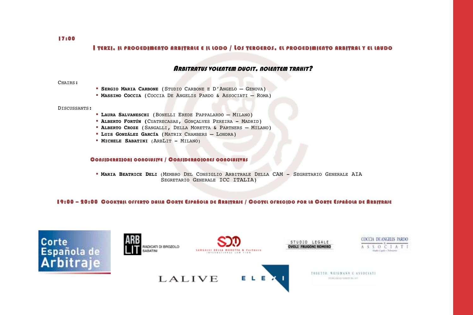17:00

# I TERZI, IL PROCEDIMENTO ARBITRALE E IL LODO / LOS TERCEROS, EL PROCEDIMIENTO ARBITRAL Y EL LAUDO

## **ARBITRATUS VOLENTEM DUCIT, NOLENTEM TRAHIT?**

CHAIRS:

- ! **SERGIO MARIA CARBONE** (STUDIO CARBONE E D'ANGELO GENOVA)
- ! **MASSIMO COCCIA** (COCCIA DE ANGELIS PARDO & ASSOCIATI ROMA)

#### DISCUSSANTS:

- ! **LAURA SALVANESCHI** (BONELLI EREDE PAPPALARDO MILANO)
- ! **ALBERTO FORTÚN (**CUATRECASAS, GONÇALVES PEREIRA MADRID)
- ! **ALBERTO CROZE** (SANGALLI, DELLA MORETTA & PARTNERS MILANO)
- ! **LUIS GONZÁLEZ GARCÍA** (MATRIX CHAMBERS LONDRA)
- **MICHELE SABATINI (ARBLIT MILANO)**

#### CONSIDERAZIONI CONCLUSIVE / CONSIDERACIONES CONCLUSIVAS

! **MARIA BEATRICE DELI** (MEMBRO DEL CONSIGLIO ARBITRALE DELLA CAM - SEGRETARIO GENERALE AIA SEGRETARIO GENERALE ICC ITALIA)

# 19:00 – 20:00 COOKTAIL OFFERTO DALLA CORTE ESPAÑOLA DE ARBITRAJE / COOTEL OFRECIDO POR LA CORTE ESPAÑOLA DE ARBITRAJE













THEFTTO, NEIGHANN E ASSOCIATI PRODUCED PERMIT NO. 2017